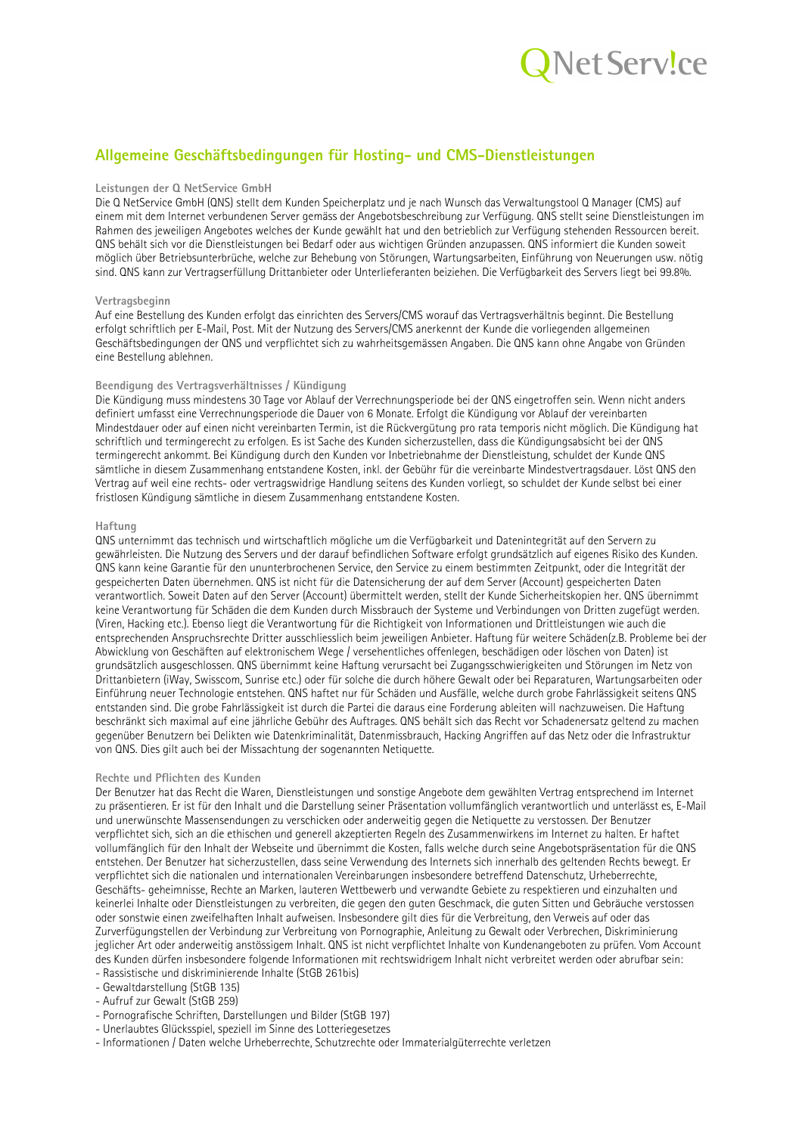

# Allgemeine Geschäftsbedingungen für Hosting- und CMS-Dienstleistungen

# Leistungen der Q NetService GmbH

Die Q NetService GmbH (QNS) stellt dem Kunden Speicherplatz und je nach Wunsch das Verwaltungstool Q Manager (CMS) auf einem mit dem Internet verbundenen Server gemäss der Angebotsbeschreibung zur Verfügung. ONS stellt seine Dienstleistungen im Rahmen des jeweiligen Angebotes welches der Kunde gewählt hat und den betrieblich zur Verfügung stehenden Ressourcen bereit. QNS behält sich vor die Dienstleistungen bei Bedarf oder aus wichtigen Gründen anzupassen. QNS informiert die Kunden soweit möglich über Betriebsunterbrüche, welche zur Behebung von Störungen, Wartungsarbeiten, Einführung von Neuerungen usw. nötig sind. QNS kann zur Vertragserfüllung Drittanbieter oder Unterlieferanten beiziehen. Die Verfügbarkeit des Servers liegt bei 99.8%.

### Vertragsbeginn

Auf eine Bestellung des Kunden erfolgt das einrichten des Servers/CMS worauf das Vertragsverhältnis beginnt. Die Bestellung erfolgt schriftlich per E-Mail, Post. Mit der Nutzung des Servers/CMS anerkennt der Kunde die vorliegenden allgemeinen Geschäftsbedingungen der QNS und verpflichtet sich zu wahrheitsgemässen Angaben. Die QNS kann ohne Angabe von Gründen eine Bestellung ablehnen.

# Beendigung des Vertragsverhältnisses / Kündigung

Die Kündigung muss mindestens 30 Tage vor Ablauf der Verrechnungsperiode bei der QNS eingetroffen sein. Wenn nicht anders definiert umfasst eine Verrechnungsperiode die Dauer von 6 Monate. Erfolgt die Kündigung vor Ablauf der vereinbarten Mindestdauer oder auf einen nicht vereinbarten Termin, ist die Rückvergütung pro rata temporis nicht möglich. Die Kündigung hat schriftlich und termingerecht zu erfolgen. Es ist Sache des Kunden sicherzustellen, dass die Kündigungsabsicht bei der QNS termingerecht ankommt. Bei Kündigung durch den Kunden vor Inbetriebnahme der Dienstleistung, schuldet der Kunde QNS sämtliche in diesem Zusammenhang entstandene Kosten, inkl. der Gebühr für die vereinbarte Mindestvertragsdauer. Löst QNS den Vertrag auf weil eine rechts- oder vertragswidrige Handlung seitens des Kunden vorliegt, so schuldet der Kunde selbst bei einer fristlosen Kündigung sämtliche in diesem Zusammenhang entstandene Kosten.

# Haftung

ONS unternimmt das technisch und wirtschaftlich mögliche um die Verfügbarkeit und Datenintegrität auf den Servern zu gewährleisten. Die Nutzung des Servers und der darauf befindlichen Software erfolgt grundsätzlich auf eigenes Risiko des Kunden. ONS kann keine Garantie für den ununterbrochenen Service, den Service zu einem bestimmten Zeitpunkt, oder die Integrität der gespeicherten Daten übernehmen. QNS ist nicht für die Datensicherung der auf dem Server (Account) gespeicherten Daten verantwortlich. Soweit Daten auf den Server (Account) übermittelt werden, stellt der Kunde Sicherheitskopien her. QNS übernimmt keine Verantwortung für Schäden die dem Kunden durch Missbrauch der Systeme und Verbindungen von Dritten zugefügt werden. (Viren, Hacking etc.). Ebenso liegt die Verantwortung für die Richtigkeit von Informationen und Drittleistungen wie auch die entsprechenden Anspruchsrechte Dritter ausschliesslich beim jeweiligen Anbieter. Haftung für weitere Schäden(z.B. Probleme bei der Abwicklung von Geschäften auf elektronischem Wege / versehentliches offenlegen, beschädigen oder löschen von Daten) ist grundsätzlich ausgeschlossen. QNS übernimmt keine Haftung verursacht bei Zugangsschwierigkeiten und Störungen im Netz von Drittanbietern (iWay, Swisscom, Sunrise etc.) oder für solche die durch höhere Gewalt oder bei Reparaturen, Wartungsarbeiten oder Einführung neuer Technologie entstehen. QNS haftet nur für Schäden und Ausfälle, welche durch grobe Fahrlässigkeit seitens QNS entstanden sind. Die grobe Fahrlässigkeit ist durch die Partei die daraus eine Forderung ableiten will nachzuweisen. Die Haftung beschränkt sich maximal auf eine jährliche Gebühr des Auftrages. QNS behält sich das Recht vor Schadenersatz geltend zu machen gegenüber Benutzern bei Delikten wie Datenkriminalität, Datenmissbrauch, Hacking Angriffen auf das Netz oder die Infrastruktur von QNS. Dies gilt auch bei der Missachtung der sogenannten Netiquette.

#### Rechte und Pflichten des Kunden

Der Benutzer hat das Recht die Waren, Dienstleistungen und sonstige Angebote dem gewählten Vertrag entsprechend im Internet zu präsentieren. Er ist für den Inhalt und die Darstellung seiner Präsentation vollumfänglich verantwortlich und unterlässt es. E-Mail und unerwünschte Massensendungen zu verschicken oder anderweitig gegen die Netiguette zu verstossen. Der Benutzer verpflichtet sich, sich an die ethischen und generell akzeptierten Regeln des Zusammenwirkens im Internet zu halten. Er haftet vollumfänglich für den Inhalt der Webseite und übernimmt die Kosten, falls welche durch seine Angebotspräsentation für die QNS entstehen. Der Benutzer hat sicherzustellen, dass seine Verwendung des Internets sich innerhalb des geltenden Rechts bewegt. Er verpflichtet sich die nationalen und internationalen Vereinbarungen insbesondere betreffend Datenschutz, Urheberrechte, Geschäfts- geheimnisse, Rechte an Marken, lauteren Wettbewerb und verwandte Gebiete zu respektieren und einzuhalten und keinerlei Inhalte oder Dienstleistungen zu verbreiten, die gegen den guten Geschmack, die guten Sitten und Gebräuche verstossen oder sonstwie einen zweifelhaften Inhalt aufweisen. Insbesondere gilt dies für die Verbreitung, den Verweis auf oder das Zurverfügungstellen der Verbindung zur Verbreitung von Pornographie, Anleitung zu Gewalt oder Verbrechen, Diskriminierung jeglicher Art oder anderweitig anstössigem Inhalt. QNS ist nicht verpflichtet Inhalte von Kundenangeboten zu prüfen. Vom Account des Kunden dürfen insbesondere folgende Informationen mit rechtswidrigem Inhalt nicht verbreitet werden oder abrufbar sein: - Rassistische und diskriminierende Inhalte (StGB 261bis)

- Gewaltdarstellung (StGB 135)

- Aufruf zur Gewalt (StGB 259)

- Pornografische Schriften, Darstellungen und Bilder (StGB 197)
- Unerlaubtes Glücksspiel, speziell im Sinne des Lotteriegesetzes

- Informationen / Daten welche Urheberrechte, Schutzrechte oder Immaterialgüterrechte verletzen